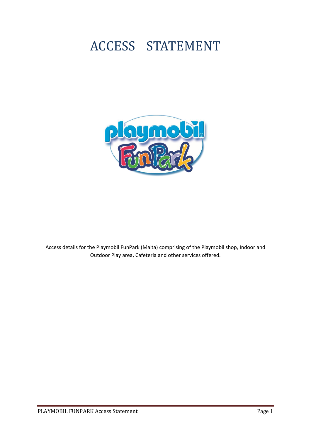# ACCESS STATEMENT



Access details for the Playmobil FunPark (Malta) comprising of the Playmobil shop, Indoor and Outdoor Play area, Cafeteria and other services offered.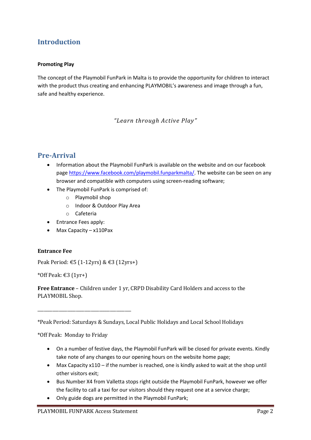# **Introduction**

#### **Promoting Play**

The concept of the Playmobil FunPark in Malta is to provide the opportunity for children to interact with the product thus creating and enhancing PLAYMOBIL's awareness and image through a fun, safe and healthy experience.

*"Learn through Active Play"*

#### **Pre-Arrival**

- Information about the Playmobil FunPark is available on the website and on our facebook page [https://www.facebook.com/playmobil.funparkmalta/.](https://www.facebook.com/playmobil.funparkmalta/) The website can be seen on any browser and compatible with computers using screen-reading software;
- The Playmobil FunPark is comprised of:
	- o Playmobil shop
	- o Indoor & Outdoor Play Area
	- o Cafeteria
- Entrance Fees apply:
- Max Capacity x110Pax

#### **Entrance Fee**

Peak Period: €5 (1-12yrs) & €3 (12yrs+)

\_\_\_\_\_\_\_\_\_\_\_\_\_\_\_\_\_\_\_\_\_\_\_\_\_\_\_\_\_\_\_\_\_\_\_\_\_\_\_\_\_\_\_\_

\*Off Peak: €3 (1yr+)

**Free Entrance** – Children under 1 yr, CRPD Disability Card Holders and access to the PLAYMOBIL Shop.

\*Peak Period: Saturdays & Sundays, Local Public Holidays and Local School Holidays

\*Off Peak: Monday to Friday

- On a number of festive days, the Playmobil FunPark will be closed for private events. Kindly take note of any changes to our opening hours on the website home page;
- Max Capacity x110 if the number is reached, one is kindly asked to wait at the shop until other visitors exit;
- Bus Number X4 from Valletta stops right outside the Playmobil FunPark, however we offer the facility to call a taxi for our visitors should they request one at a service charge;
- Only guide dogs are permitted in the Playmobil FunPark;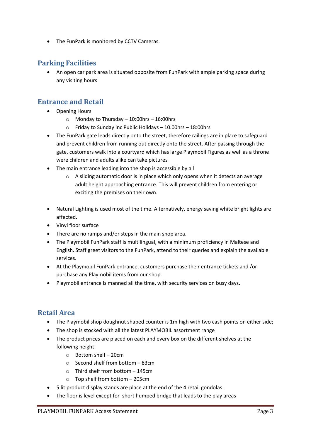The FunPark is monitored by CCTV Cameras.

#### **Parking Facilities**

 An open car park area is situated opposite from FunPark with ample parking space during any visiting hours

#### **Entrance and Retail**

- Opening Hours
	- o Monday to Thursday 10:00hrs 16:00hrs
	- Friday to Sunday inc Public Holidays  $-$  10.00hrs  $-$  18:00hrs
- The FunPark gate leads directly onto the street, therefore railings are in place to safeguard and prevent children from running out directly onto the street. After passing through the gate, customers walk into a courtyard which has large Playmobil Figures as well as a throne were children and adults alike can take pictures
- The main entrance leading into the shop is accessible by all
	- $\circ$  A sliding automatic door is in place which only opens when it detects an average adult height approaching entrance. This will prevent children from entering or exciting the premises on their own.
- Natural Lighting is used most of the time. Alternatively, energy saving white bright lights are affected.
- Vinyl floor surface
- There are no ramps and/or steps in the main shop area.
- The Playmobil FunPark staff is multilingual, with a minimum proficiency in Maltese and English. Staff greet visitors to the FunPark, attend to their queries and explain the available services.
- At the Playmobil FunPark entrance, customers purchase their entrance tickets and /or purchase any Playmobil items from our shop.
- Playmobil entrance is manned all the time, with security services on busy days.

#### **Retail Area**

- The Playmobil shop doughnut shaped counter is 1m high with two cash points on either side;
- The shop is stocked with all the latest PLAYMOBIL assortment range
- The product prices are placed on each and every box on the different shelves at the following height:
	- o Bottom shelf 20cm
	- o Second shelf from bottom 83cm
	- o Third shelf from bottom 145cm
	- o Top shelf from bottom 205cm
- 5 lit product display stands are place at the end of the 4 retail gondolas.
- The floor is level except for short humped bridge that leads to the play areas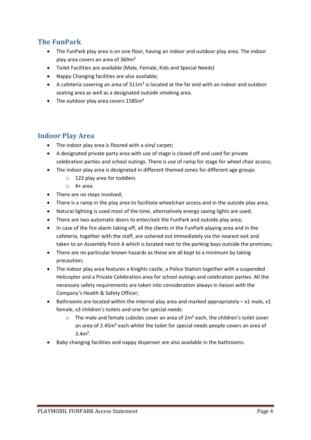## **The FunPark**

- The FunPark play area is on one floor, having an indoor and outdoor play area. The indoor play area covers an area of 369m²
- Toilet Facilities are available (Male, Female, Kids and Special Needs)
- Nappy Changing facilities are also available;
- A cafeteria covering an area of 311m² is located at the far end with an indoor and outdoor seating area as well as a designated outside smoking area.
- The outdoor play area covers 1585m<sup>2</sup>

#### **Indoor Play Area**

- The indoor play area is floored with a vinyl carpet;
- A designated private party area with use of stage is closed off and used for private celebration parties and school outings. There is use of ramp for stage for wheel chair access;
- The indoor play area is designated in different themed zones for different age groups
	- o 123 play area for toddlers
	- $0$  4+ area
- There are no steps involved;
- There is a ramp in the play area to facilitate wheelchair access and in the outside play area;
- Natural lighting is used most of the time, alternatively energy saving lights are used;
- There are two automatic doors to enter/exit the FunPark and outside play area;
- In case of the fire alarm taking off, all the clients in the FunPark playing area and in the cafeteria, together with the staff, are ushered out immediately via the nearest exit and taken to an Assembly Point A which is located next to the parking bays outside the premises;
- There are no particular known hazards as these are all kept to a minimum by taking precaution;
- The indoor play area features a Knights castle, a Police Station together with a suspended Helicopter and a Private Celebration area for school outings and celebration parties. All the necessary safety requirements are taken into consideration always in liaison with the Company's Health & Safety Officer;
- $\bullet$  Bathrooms are located within the internal play area and marked appropriately x1 male, x1 female, x3 children's toilets and one for special needs:
	- $\circ$  The male and female cubicles cover an area of 2m<sup>2</sup> each, the children's toilet cover an area of 2.45m² each whilst the toilet for special needs people covers an area of 3.4m².
- Baby changing facilities and nappy dispenser are also available in the bathrooms.